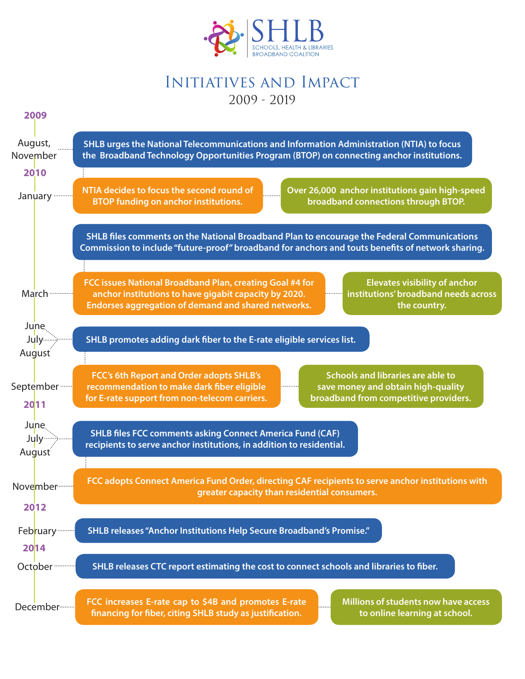

## Initiatives and Impact 2009 - 2019

| 2009                           |                                                                                                                                                                                                                                                                          |
|--------------------------------|--------------------------------------------------------------------------------------------------------------------------------------------------------------------------------------------------------------------------------------------------------------------------|
| August,<br>November            | SHLB urges the National Telecommunications and Information Administration (NTIA) to focus<br>the Broadband Technology Opportunities Program (BTOP) on connecting anchor institutions.                                                                                    |
| 2010                           |                                                                                                                                                                                                                                                                          |
| January                        | NTIA decides to focus the second round of<br>Over 26,000 anchor institutions gain high-speed<br><b>BTOP funding on anchor institutions.</b><br>broadband connections through BTOP.                                                                                       |
|                                | SHLB files comments on the National Broadband Plan to encourage the Federal Communications<br>Commission to include "future-proof" broadband for anchors and touts benefits of network sharing.                                                                          |
| March                          | FCC issues National Broadband Plan, creating Goal #4 for<br><b>Elevates visibility of anchor</b><br>institutions' broadband needs across<br>anchor institutions to have gigabit capacity by 2020.<br>Endorses aggregation of demand and shared networks.<br>the country. |
| June.                          |                                                                                                                                                                                                                                                                          |
| July-                          | SHLB promotes adding dark fiber to the E-rate eligible services list.                                                                                                                                                                                                    |
| August                         |                                                                                                                                                                                                                                                                          |
| September ·<br>2011            | <b>Schools and libraries are able to</b><br>FCC's 6th Report and Order adopts SHLB's<br>recommendation to make dark fiber eligible<br>save money and obtain high-quality<br>for E-rate support from non-telecom carriers.<br>broadband from competitive providers.       |
| June.<br><b>July</b><br>August | <b>SHLB files FCC comments asking Connect America Fund (CAF)</b><br>recipients to serve anchor institutions, in addition to residential.                                                                                                                                 |
| November ·········             | FCC adopts Connect America Fund Order, directing CAF recipients to serve anchor institutions with<br>greater capacity than residential consumers.                                                                                                                        |
| 2012                           |                                                                                                                                                                                                                                                                          |
| February <sup></sup><br>2014   | SHLB releases "Anchor Institutions Help Secure Broadband's Promise."                                                                                                                                                                                                     |
| October                        | SHLB releases CTC report estimating the cost to connect schools and libraries to fiber.                                                                                                                                                                                  |
| December ········              | FCC increases E-rate cap to \$4B and promotes E-rate<br>Millions of students now have access<br>financing for fiber, citing SHLB study as justification.<br>to online learning at school.                                                                                |